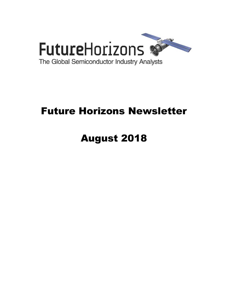

# Future Horizons Newsletter

# August 2018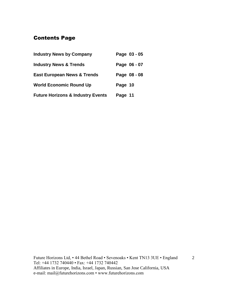# Contents Page

| <b>Industry News by Company</b>              | Page 03 - 05 |
|----------------------------------------------|--------------|
| <b>Industry News &amp; Trends</b>            | Page 06 - 07 |
| <b>East European News &amp; Trends</b>       | Page 08 - 08 |
| <b>World Economic Round Up</b>               | Page 10      |
| <b>Future Horizons &amp; Industry Events</b> | Page 11      |

Future Horizons Ltd, • 44 Bethel Road • Sevenoaks • Kent TN13 3UE • England Tel: +44 1732 740440 • Fax: +44 1732 740442 Affiliates in Europe, India, Israel, Japan, Russian, San Jose California, USA e-mail: mail@futurehorizons.com • www.futurehorizons.com

2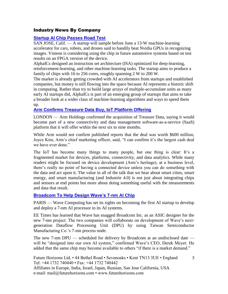#### Industry News By Company

#### **[Startup AI Chip Passes Road Test](https://www.eetimes.com/document.asp?doc_id=1333585&_mc=RSS_EET_EDT&utm_source=newsletter&utm_campaign=link&utm_medium=EETimesDaily-20180813)**

SAN JOSE, Calif. — A startup will sample before June a 13-W machine-learning accelerator for cars, robots, and drones said to handily beat Nvidia GPUs in recognizing images. Visteon is considering using the chip in future automotive systems based on test results on an FPGA version of the device.

AlphaICs designed an instruction set architecture (ISA) optimized for deep-learning, reinforcement-learning, and other machine-learning tasks. The startup aims to produce a family of chips with 16 to 256 cores, roughly spanning 2 W to 200 W.

The market is already getting crowded with AI accelerators from startups and established companies, but money is still flowing into the space because AI represents a historic shift in computing. Rather than try to build large arrays of multiple-accumulate units as many early AI startups did, AlphaICs is part of an emerging group of startups that aims to take a broader look at a wider class of machine-learning algorithms and ways to speed them up.

#### **[Arm Confirms Treasure Data Buy, IoT Platform Offering](https://www.eetimes.com/document.asp?doc_id=1333555&_mc=RSS_EET_EDT&utm_source=newsletter&utm_campaign=link&utm_medium=EETimesDaily-20180803)**

LONDON — Arm Holdings confirmed the acquisition of Treasure Data, saying it would become part of a new connectivity and data management software-as-a-service (SaaS) platform that it will offer within the next six to nine months.

While Arm would not confirm published reports that the deal was worth \$600 million, Joyce Kim, Arm's chief marketing officer, said, "I can confirm it's the largest cash deal we have ever done."

The IoT has become many things to many people, but one thing is clear: It's a fragmented market for devices, platforms, connectivity, and data analytics. While many readers might be focused on device development (Arm's heritage), at a business level, there's really no point of having a connected device unless you can do something with the data and act upon it. The value in all of the talk that we hear about smart cities, smart energy, and smart manufacturing (and Industrie 4.0) is not just about integrating chips and sensors at end points but more about doing something useful with the measurements and data that result.

#### **[Broadcom To Help Design Wave's 7-nm AI Chip](https://www.eetimes.com/document.asp?doc_id=1333538&_mc=RSS_EET_EDT&utm_source=newsletter&utm_campaign=link&utm_medium=EETimesSoC-20180813)**

PARIS — Wave Computing has set its sights on becoming the first AI startup to develop and deploy a 7-nm AI processor in its AI systems.

EE Times has learned that Wave has snagged Broadcom Inc. as an ASIC designer for the new 7-nm project. The two companies will collaborate on development of Wave's nextgeneration Dataflow Processing Unit (DPU) by using Taiwan Semiconductor Manufacturing Co.'s 7-nm process node.

The new 7-nm DPU — scheduled for delivery by Broadcom at an undisclosed date will be "designed into our own AI system," confirmed Wave's CEO, Derek Meyer. He added that the same chip may become available to others "if there is a market demand."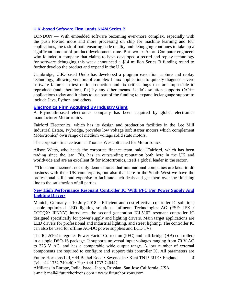#### **[U.K.-based Software Firm Lands \\$14M Series B](https://www.eetindia.co.in/news/article/18071706-uk-based-software-firm-lands-14m-usd-series-b?utm_source=EETI%20Article%20Alert&utm_medium=Email&utm_campaign=2018-07-20)**

LONDON — With embedded software becoming ever-more complex, especially with the push toward more and more processing on chip for machine learning and IoT applications, the task of both ensuring code quality and debugging continues to take up a significant amount of product development time. But two ex-Acorn Computer engineers who founded a company that claims to have developed a record and replay technology for software debugging this week announced a \$14 million Series B funding round to further develop the product and expand in the U.S.

Cambridge, U.K.-based Undo has developed a program execution capture and replay technology, allowing vendors of complex Linux applications to quickly diagnose severe software failures in test or in production and fix critical bugs that are impossible to reproduce (and, therefore, fix) by any other means. Undo's solution supports C/C++ applications today and it plans to use part of the funding to expand its language support to include Java, Python, and others.

#### **[Electronics Firm Acquired By Industry Giant](https://www.insidermedia.com/insider/southwest/electronics-firm-acquired-by-industry-giant)**

A Plymouth-based electronics company has been acquired by global electronics manufacturer Motortronics.

Fairford Electronics, which has its design and production facilities in the Lee Mill Industrial Estate, Ivybridge, provides low voltage soft starter motors which complement Motortronics' own range of medium voltage solid state motors.

The corporate finance team at Thomas Westcott acted for Motortronics.

Alison Watts, who heads the corporate finance team, said: "Fairford, which has been trading since the late '70s, has an outstanding reputation both here in the UK and worldwide and are an excellent fit for Motortronics, itself a global leader in the sector.

""This announcement not only demonstrates that international companies are keen to do business with their UK counterparts, but also that here in the South West we have the professional skills and expertise to facilitate such deals and get them over the finishing line to the satisfaction of all parties.

#### **[New High Performance Resonant Controller IC With PFC For Power Supply And](https://www.infineon.com/cms/en/about-infineon/press/market-news/2018/INFPMM201807-066.html)  [Lighting Drivers](https://www.infineon.com/cms/en/about-infineon/press/market-news/2018/INFPMM201807-066.html)**

Munich, Germany – 10 July 2018 – Efficient and cost-effective controller IC solutions enable optimized LED lighting solutions. Infineon Technologies AG (FSE: IFX / OTCQX: IFNNY) introduces the second generation ICL5102 resonant controller IC designed specifically for power supply and lighting drivers. Main target applications are LED drivers for professional and industrial lighting, and street lighting. The controller IC can also be used for offline AC-DC power supplies and LCD TVs.

The ICL5102 integrates Power Factor Correction (PFC) and half-bridge (HB) controllers in a single DSO-16 package. It supports universal input voltages ranging from 70 V AC to 325 V AC, and has a comparable wide output range. A low number of external components are required to configure and support this controller IC. All parameters are

Future Horizons Ltd, • 44 Bethel Road • Sevenoaks • Kent TN13 3UE • England Tel: +44 1732 740440 • Fax: +44 1732 740442

Affiliates in Europe, India, Israel, Japan, Russian, San Jose California, USA e-mail: mail@futurehorizons.com • www.futurehorizons.com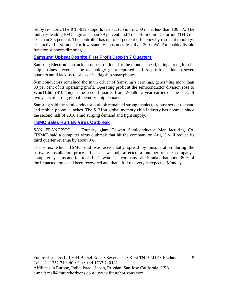set by resistors. The ICL5012 supports fast startup under 500 ms at less than 100 μA. The industry-leading PFC is greater than 99 percent and Total Harmonic Distortion (THD) is less than 3.5 percent. The controller has up to 94 percent efficiency by resonant topology. The active burst mode for low standby consumes less than 300 mW. An enable/disable function supports dimming.

#### **[Samsung Upbeat Despite First Profit Drop In 7 Quarters](https://www.ft.com/content/a83ff136-945d-11e8-b67b-b8205561c3fe?segmentId=a7371401-027d-d8bf-8a7f-2a746e767d56)**

Samsung Electronics struck an upbeat outlook for the months ahead, citing strength in its chip business, even as the technology giant reported its first profit decline in seven quarters amid lacklustre sales of its flagship smartphones.

Semiconductors remained the main driver of Samsung's earnings, generating more than 80 per cent of its operating profit. Operating profit at the semiconductor division rose to Won11.6tn (\$10.4bn) in the second quarter from Won8tn a year earlier on the back of two years of strong global memory-chip demand.

Samsung said the semiconductor outlook remained strong thanks to robust server demand and mobile phone launches. The \$121bn global memory chip industry has boomed since the second half of 2016 amid surging demand and tight supply.

#### **[TSMC Sales Hurt By Virus Outbreak](https://www.eetimes.com/document.asp?doc_id=1333564&_mc=RSS_EET_EDT&utm_source=newsletter&utm_campaign=link&utm_medium=EETimesSoC-20180813)**

SAN FRANCISCO — Foundry giant Taiwan Semiconductor Manufacturing Co. (TSMC) said a computer virus outbreak that hit the company on Aug. 3 will reduce its third quarter revenue by about 3%.

The virus, which TSMC said was accidentally spread by misoperation during the software installation process for a new tool, affected a number of the company's computer systems and fab tools in Taiwan. The company said Sunday that about 80% of the impacted tools had been recovered and that a full recovery is expected Monday.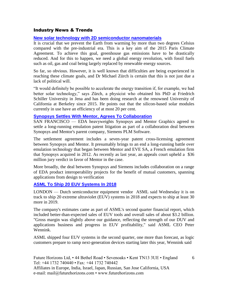#### Industry News & Trends

#### **[New solar technology with 2D semiconductor nanomaterials](https://www.nanowerk.com/nanotechnology-news2/newsid=50556.php)**

It is crucial that we prevent the Earth from warming by more than two degrees Celsius compared with the pre-industrial era. This is a key aim of the 2015 Paris Climate Agreement. To achieve this goal, greenhouse gas emissions have to be drastically reduced. And for this to happen, we need a global energy revolution, with fossil fuels such as oil, gas and coal being largely replaced by renewable energy sources.

So far, so obvious. However, it is well known that difficulties are being experienced in reaching these climate goals, and Dr Michael Zürch is certain that this is not just due a lack of political will.

"It would definitely be possible to accelerate the energy transition if, for example, we had better solar technology," says Zürch, a physicist who obtained his PhD at Friedrich Schiller University in Jena and has been doing research at the renowned University of California at Berkeley since 2015. He points out that the silicon-based solar modules currently in use have an efficiency of at most 20 per cent.

#### **[Synopsys Settles With Mentor, Agrees To Collaboration](https://www.eetimes.com/document.asp?doc_id=1333450&_mc=RSS_EET_EDT&utm_source=newsletter&utm_campaign=link&utm_medium=EETimesSoC-20180709)**

SAN FRANCISCO — EDA heavyweights Synopsys and Mentor Graphics agreed to settle a long-running emulation patent litigation as part of a collaboration deal between Synopsys and Mentor's parent company, Siemens PLM Software.

The settlement agreement includes a seven-year patent cross-licensing agreement between Synopsys and Mentor. It presumably brings to an end a long-running battle over emulation technology that began between Mentor and EVE SA, a French emulation firm that Synopsys acquired in 2012. As recently as last year, an appeals court upheld a \$36 million jury verdict in favor of Mentor in the case.

More broadly, the deal between Synopsys and Siemens includes collaboration on a range of EDA product interoperability projects for the benefit of mutual customers, spanning applications from design to verification

#### **[ASML To Ship 20 EUV Systems In 2018](https://www.eetimes.com/document.asp?doc_id=1333492&_mc=RSS_EET_EDT&utm_source=newsletter&utm_campaign=link&utm_medium=EETimesDaily-20180720)**

LONDON — Dutch semiconductor equipment vendor ASML said Wednesday it is on track to ship 20 extreme ultraviolet (EUV) systems in 2018 and expects to ship at least 30 more in 2019.

The company's estimates came as part of ASML's second quarter financial report, which included better-than-expected sales of EUV tools and overall sales of about \$3.2 billion. "Gross margin was slightly above our guidance, reflecting the strength of our DUV and applications business and progress in EUV profitability," said ASML CEO Peter Wennink.

ASML shipped four EUV systems in the second quarter, one more than forecast, as logic customers prepare to ramp next-generation devices starting later this year, Wennink said

Future Horizons Ltd, • 44 Bethel Road • Sevenoaks • Kent TN13 3UE • England Tel: +44 1732 740440 • Fax: +44 1732 740442 Affiliates in Europe, India, Israel, Japan, Russian, San Jose California, USA e-mail: mail@futurehorizons.com • www.futurehorizons.com

6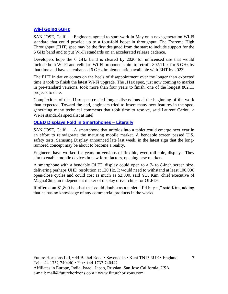#### **[WiFi Going 6GHz](https://www.eetindia.co.in/news/article/18072302-wifi-going-6ghz?utm_source=EETI%20Article%20Alert&utm_medium=Email&utm_campaign=2018-07-25)**

SAN JOSE, Calif. — Engineers agreed to start work in May on a next-generation Wi-Fi standard that could provide up to a four-fold boost in throughput. The Extreme High Throughput (EHT) spec may be the first designed from the start to include support for the 6 GHz band and to put Wi-Fi standards on an accelerated release cadence.

Developers hope the 6 GHz band is cleared by 2020 for unlicensed use that would include both Wi-Fi and cellular. Wi-Fi proponents aim to retrofit 802.11ax for 6 GHz by that time and have an enhanced 6 GHz implementation available with EHT by 2023.

The EHT initiative comes on the heels of disappointment over the longer than expected time it took to finish the latest Wi-Fi upgrade. The .11ax spec, just now coming to market in pre-standard versions, took more than four years to finish, one of the longest 802.11 projects to date.

Complexities of the .11ax spec created longer discussions at the beginning of the work than expected. Toward the end, engineers tried to insert many new features in the spec, generating many technical comments that took time to resolve, said Laurent Cariou, a Wi-Fi standards specialist at Intel.

#### **[OLED Displays Fold in Smartphones –](https://www.eetindia.co.in/news/article/18073001-oled-displays-fold-in-smartphones-literally) Literally**

SAN JOSE, Calif. — A smartphone that unfolds into a tablet could emerge next year in an effort to reinvigorate the maturing mobile market. A bendable screen passed U.S. safety tests, Samsung Display announced late last week, in the latest sign that the longrumored concept may be about to become a reality.

Engineers have worked for years on versions of flexible, even roll-able, displays. They aim to enable mobile devices in new form factors, opening new markets.

A smartphone with a bendable OLED display could open to a 7- to 8-inch screen size, delivering perhaps UHD resolution at 120 Hz. It would need to withstand at least 100,000 open/close cycles and could cost as much as \$2,000, said Y.J. Kim, chief executive of MagnaChip, an independent maker of display driver chips for OLEDs.

If offered an \$1,800 handset that could double as a tablet, "I'd buy it," said Kim, adding that he has no knowledge of any commercial products in the works.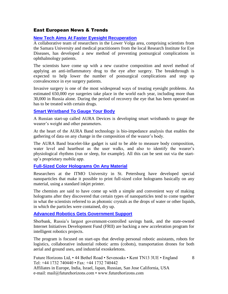#### East European News & Trends

#### **[New Tech Aims At Faster Eyesight Recuperation](http://www.marchmontnews.com/Technology-Innovation/Volga/21890-New-tech-aims-faster-eyesight-recuperation.html)**

A collaborative team of researchers in the Lower Volga area, comprising scientists from the Samara University and medical practitioners from the local Research Institute for Eye Diseases, has developed a new method of preventing postsurgical complications in ophthalmology patients.

The scientists have come up with a new curative composition and novel method of applying an anti-inflammatory drug to the eye after surgery. The breakthrough is expected to help lower the number of postsurgical complications and step up convalescence in eye surgery patients.

Invasive surgery is one of the most widespread ways of treating eyesight problems. An estimated 650,000 eye surgeries take place in the world each year, including more than 30,000 in Russia alone. During the period of recovery the eye that has been operated on has to be treated with certain drugs.

#### **[Smart Wristband To Gauge Your Body](http://www.marchmontnews.com/Finance-Business/Central-regions/21889-Smart-wristband-gauge-your-body.html)**

A Russian start-up called AURA Devices is developing smart wristbands to gauge the wearer's weight and other parameters.

At the heart of the AURA Band technology is bio-impedance analysis that enables the gathering of data on any change in the composition of the wearer's body.

The AURA Band bracelet-like gadget is said to be able to measure body composition, water level and heartbeat as the user walks, and also to identify the wearer's physiological rhythms (run or sleep, for example). All this can be sent out via the startup's proprietary mobile app.

#### **[Full-Sized Color Holograms On Any Material](http://www.marchmontnews.com/Technology-Innovation/North-West/21955-Full-sized-color-holograms-any-material.html)**

Researchers at the ITMO University in St. Petersburg have developed special nanoparticles that make it possible to print full-sized color holograms basically on any material, using a standard inkjet printer.

The chemists are said to have come up with a simple and convenient way of making holograms after they discovered that certain types of nanoparticles tend to come together in what the scientists referred to as photonic crystals as the drops of water or other liquids, in which the particles were contained, dry up.

#### **[Advanced Robotics Gets Government Support](http://www.marchmontnews.com/Technology-Innovation/Central-regions/21951-Advanced-robotics-gets-government-support.html)**

Sberbank, Russia's largest government-controlled savings bank, and the state-owned Internet Initiatives Development Fund (FRII) are backing a new acceleration program for intelligent robotics projects.

The program is focused on start-ups that develop personal robotic assistants, robots for logistics, collaborative industrial robotic arms (cobots), transportation drones for both aerial and ground uses, and industrial exoskeletons.

8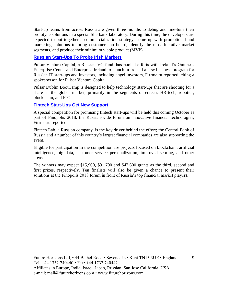Start-up teams from across Russia are given three months to debug and fine-tune their prototype solutions in a special Sberbank laboratory. During this time, the developers are expected to put together a commercialization strategy, come up with promotional and marketing solutions to bring customers on board, identify the most lucrative market segments, and produce their minimum viable product (MVP).

#### **[Russian Start-Ups To Probe Irish Markets](http://www.marchmontnews.com/Finance-Business/Central-regions/21974-Russian-start-ups-probe-Irish-markets.html)**

Pulsar Venture Capital, a Russian VC fund, has pooled efforts with Ireland's Guinness Enterprise Center and Enterprise Ireland to launch in Ireland a new business program for Russian IT start-ups and investors, including angel investors, Firrma.ru reported, citing a spokesperson for Pulsar Venture Capital.

Pulsar Dublin BootCamp is designed to help technology start-ups that are shooting for a share in the global market, primarily in the segments of edtech, HR-tech, robotics, blockchain, and ICO.

#### **[Fintech Start-Ups Get New Support](http://www.marchmontnews.com/Finance-Business/Central-regions/21981-Fintech-start-ups-get-new-support.html)**

A special competition for promising fintech start-ups will be held this coming October as part of Finopolis 2018, the Russian-wide forum on innovative financial technologies, Firrma.ru reported.

Fintech Lab, a Russian company, is the key driver behind the effort; the Central Bank of Russia and a number of this country's largest financial companies are also supporting the event.

Eligible for participation in the competition are projects focused on blockchain, artificial intelligence, big data, customer service personalization, improved scoring, and other areas.

The winners may expect \$15,900, \$31,700 and \$47,600 grants as the third, second and first prizes, respectively. Ten finalists will also be given a chance to present their solutions at the Finopolis 2018 forum in front of Russia's top financial market players.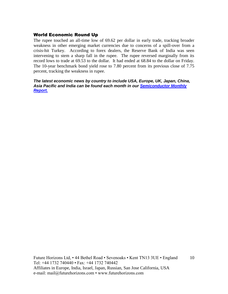#### World Economic Round Up

The rupee touched an all-time low of 69.62 per dollar in early trade, tracking broader weakness in other emerging market currencies due to concerns of a spill-over from a crisis-hit Turkey. According to forex dealers, the Reserve Bank of India was seen intervening to stem a sharp fall in the rupee. The rupee reversed marginally from its record lows to trade at 69.53 to the dollar. It had ended at 68.84 to the dollar on Friday. The 10-year benchmark bond yield rose to 7.80 percent from its previous close of 7.75 percent, tracking the weakness in rupee.

*The latest economic news by country to include USA, Europe, UK, Japan, China, Asia Pacific and India can be found each month in our [Semiconductor Monthly](http://www.futurehorizons.com/page/18/Global-Semiconductor-Report)  [Report.](http://www.futurehorizons.com/page/18/Global-Semiconductor-Report)*